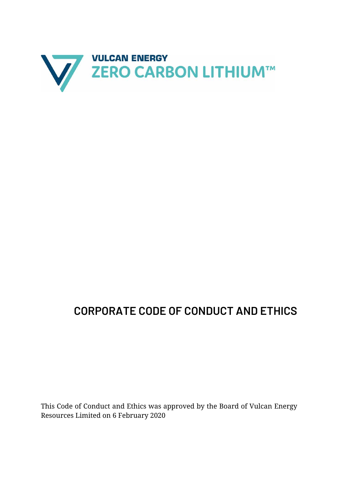

# **CORPORATE CODE OF CONDUCT AND ETHICS**

This Code of Conduct and Ethics was approved by the Board of Vulcan Energy Resources Limited on 6 February 2020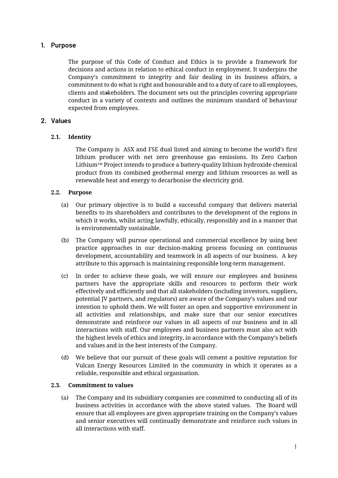# **1. Purpose**

The purpose of this Code of Conduct and Ethics is to provide a framework for decisions and actions in relation to ethical conduct in employment. It underpins the Company's commitment to integrity and fair dealing in its business affairs, a commitment to do what is right and honourable and to a duty of care to all employees, clients and stakeholders. The document sets out the principles covering appropriate conduct in a variety of contexts and outlines the minimum standard of behaviour expected from employees.

## **2. Values**

#### **2.1. Identity**

The Company is ASX and FSE dual listed and aiming to become the world's first lithium producer with net zero greenhouse gas emissions. Its Zero Carbon Lithium $T^M$  Project intends to produce a battery-quality lithium hydroxide chemical product from its combined geothermal energy and lithium resources as well as renewable heat and energy to decarbonise the electricity grid.

#### **2.2. Purpose**

- (a) Our primary objective is to build a successful company that delivers material benefits to its shareholders and contributes to the development of the regions in which it works, whilst acting lawfully, ethically, responsibly and in a manner that is environmentally sustainable.
- (b) The Company will pursue operational and commercial excellence by using best practice approaches in our decision-making process focusing on continuous development, accountability and teamwork in all aspects of our business. A key attribute to this approach is maintaining responsible long-term management.
- (c) In order to achieve these goals, we will ensure our employees and business partners have the appropriate skills and resources to perform their work effectively and efficiently and that all stakeholders (including investors, suppliers, potential JV partners, and regulators) are aware of the Company's values and our intention to uphold them. We will foster an open and supportive environment in all activities and relationships, and make sure that our senior executives demonstrate and reinforce our values in all aspects of our business and in all interactions with staff. Our employees and business partners must also act with the highest levels of ethics and integrity, in accordance with the Company's beliefs and values and in the best interests of the Company.
- (d) We believe that our pursuit of these goals will cement a positive reputation for Vulcan Energy Resources Limited in the community in which it operates as a reliable, responsible and ethical organisation.

#### **2.3. Commitment to values**

(a) The Company and its subsidiary companies are committed to conducting all of its business activities in accordance with the above stated values. The Board will ensure that all employees are given appropriate training on the Company's values and senior executives will continually demonstrate and reinforce such values in all interactions with staff.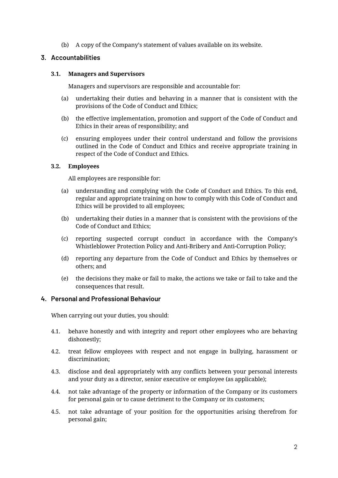(b) A copy of the Company's statement of values available on its website.

# **3. Accountabilities**

## **3.1. Managers and Supervisors**

Managers and supervisors are responsible and accountable for:

- (a) undertaking their duties and behaving in a manner that is consistent with the provisions of the Code of Conduct and Ethics;
- (b) the effective implementation, promotion and support of the Code of Conduct and Ethics in their areas of responsibility; and
- (c) ensuring employees under their control understand and follow the provisions outlined in the Code of Conduct and Ethics and receive appropriate training in respect of the Code of Conduct and Ethics.

## **3.2. Employees**

All employees are responsible for:

- (a) understanding and complying with the Code of Conduct and Ethics. To this end, regular and appropriate training on how to comply with this Code of Conduct and Ethics will be provided to all employees;
- (b) undertaking their duties in a manner that is consistent with the provisions of the Code of Conduct and Ethics;
- (c) reporting suspected corrupt conduct in accordance with the Company's Whistleblower Protection Policy and Anti-Bribery and Anti-Corruption Policy;
- (d) reporting any departure from the Code of Conduct and Ethics by themselves or others; and
- (e) the decisions they make or fail to make, the actions we take or fail to take and the consequences that result.

# **4. Personal and Professional Behaviour**

When carrying out your duties, you should:

- 4.1. behave honestly and with integrity and report other employees who are behaving dishonestly;
- 4.2. treat fellow employees with respect and not engage in bullying, harassment or discrimination;
- 4.3. disclose and deal appropriately with any conflicts between your personal interests and your duty as a director, senior executive or employee (as applicable);
- 4.4. not take advantage of the property or information of the Company or its customers for personal gain or to cause detriment to the Company or its customers;
- 4.5. not take advantage of your position for the opportunities arising therefrom for personal gain;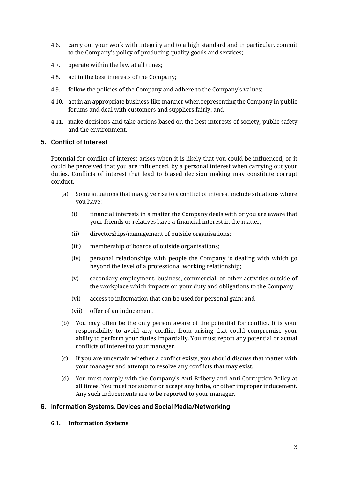- 4.6. carry out your work with integrity and to a high standard and in particular, commit to the Company's policy of producing quality goods and services;
- 4.7. operate within the law at all times;
- 4.8. act in the best interests of the Company;
- 4.9. follow the policies of the Company and adhere to the Company's values;
- 4.10. act in an appropriate business-like manner when representing the Company in public forums and deal with customers and suppliers fairly; and
- 4.11. make decisions and take actions based on the best interests of society, public safety and the environment.

#### **5. Conflict of Interest**

Potential for conflict of interest arises when it is likely that you could be influenced, or it could be perceived that you are influenced, by a personal interest when carrying out your duties. Conflicts of interest that lead to biased decision making may constitute corrupt conduct.

- (a) Some situations that may give rise to a conflict of interest include situations where you have:
	- (i) financial interests in a matter the Company deals with or you are aware that your friends or relatives have a financial interest in the matter;
	- (ii) directorships/management of outside organisations;
	- (iii) membership of boards of outside organisations;
	- (iv) personal relationships with people the Company is dealing with which go beyond the level of a professional working relationship;
	- (v) secondary employment, business, commercial, or other activities outside of the workplace which impacts on your duty and obligations to the Company;
	- (vi) access to information that can be used for personal gain; and
	- (vii) offer of an inducement.
- (b) You may often be the only person aware of the potential for conflict. It is your responsibility to avoid any conflict from arising that could compromise your ability to perform your duties impartially. You must report any potential or actual conflicts of interest to your manager.
- (c) If you are uncertain whether a conflict exists, you should discuss that matter with your manager and attempt to resolve any conflicts that may exist.
- (d) You must comply with the Company's Anti-Bribery and Anti-Corruption Policy at all times. You must not submit or accept any bribe, or other improper inducement. Any such inducements are to be reported to your manager.

#### **6. Information Systems, Devices and Social Media/Networking**

**6.1. Information Systems**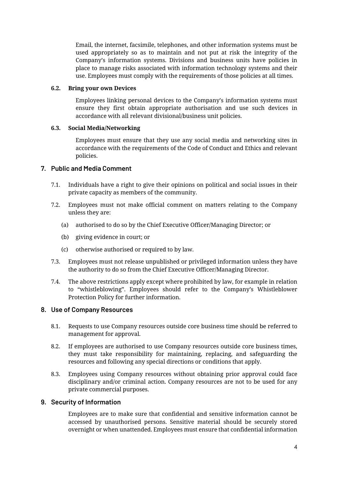Email, the internet, facsimile, telephones, and other information systems must be used appropriately so as to maintain and not put at risk the integrity of the Company's information systems. Divisions and business units have policies in place to manage risks associated with information technology systems and their use. Employees must comply with the requirements of those policies at all times.

#### **6.2. Bring your own Devices**

Employees linking personal devices to the Company's information systems must ensure they first obtain appropriate authorisation and use such devices in accordance with all relevant divisional/business unit policies.

#### **6.3. Social Media/Networking**

Employees must ensure that they use any social media and networking sites in accordance with the requirements of the Code of Conduct and Ethics and relevant policies.

#### **7. Public and Media Comment**

- 7.1. Individuals have a right to give their opinions on political and social issues in their private capacity as members of the community.
- 7.2. Employees must not make official comment on matters relating to the Company unless they are:
	- (a) authorised to do so by the Chief Executive Officer/Managing Director; or
	- (b) giving evidence in court; or
	- (c) otherwise authorised or required to by law.
- 7.3. Employees must not release unpublished or privileged information unless they have the authority to do so from the Chief Executive Officer/Managing Director.
- 7.4. The above restrictions apply except where prohibited by law, for example in relation to "whistleblowing". Employees should refer to the Company's Whistleblower Protection Policy for further information.

#### **8. Use of Company Resources**

- 8.1. Requests to use Company resources outside core business time should be referred to management for approval.
- 8.2. If employees are authorised to use Company resources outside core business times, they must take responsibility for maintaining, replacing, and safeguarding the resources and following any special directions or conditions that apply.
- 8.3. Employees using Company resources without obtaining prior approval could face disciplinary and/or criminal action. Company resources are not to be used for any private commercial purposes.

## **9. Security of Information**

Employees are to make sure that confidential and sensitive information cannot be accessed by unauthorised persons. Sensitive material should be securely stored overnight or when unattended. Employees must ensure that confidential information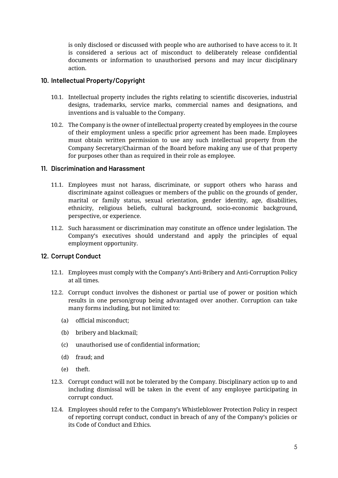is only disclosed or discussed with people who are authorised to have access to it. It is considered a serious act of misconduct to deliberately release confidential documents or information to unauthorised persons and may incur disciplinary action.

## **10. Intellectual Property/Copyright**

- 10.1. Intellectual property includes the rights relating to scientific discoveries, industrial designs, trademarks, service marks, commercial names and designations, and inventions and is valuable to the Company.
- 10.2. The Company is the owner of intellectual property created by employees in the course of their employment unless a specific prior agreement has been made. Employees must obtain written permission to use any such intellectual property from the Company Secretary/Chairman of the Board before making any use of that property for purposes other than as required in their role as employee.

## **11. Discrimination and Harassment**

- 11.1. Employees must not harass, discriminate, or support others who harass and discriminate against colleagues or members of the public on the grounds of gender, marital or family status, sexual orientation, gender identity, age, disabilities, ethnicity, religious beliefs, cultural background, socio-economic background, perspective, or experience.
- 11.2. Such harassment or discrimination may constitute an offence under legislation. The Company's executives should understand and apply the principles of equal employment opportunity.

# **12. Corrupt Conduct**

- 12.1. Employees must comply with the Company's Anti-Bribery and Anti-Corruption Policy at all times.
- 12.2. Corrupt conduct involves the dishonest or partial use of power or position which results in one person/group being advantaged over another. Corruption can take many forms including, but not limited to:
	- (a) official misconduct;
	- (b) bribery and blackmail;
	- (c) unauthorised use of confidential information;
	- (d) fraud; and
	- (e) theft.
- 12.3. Corrupt conduct will not be tolerated by the Company. Disciplinary action up to and including dismissal will be taken in the event of any employee participating in corrupt conduct.
- 12.4. Employees should refer to the Company's Whistleblower Protection Policy in respect of reporting corrupt conduct, conduct in breach of any of the Company's policies or its Code of Conduct and Ethics.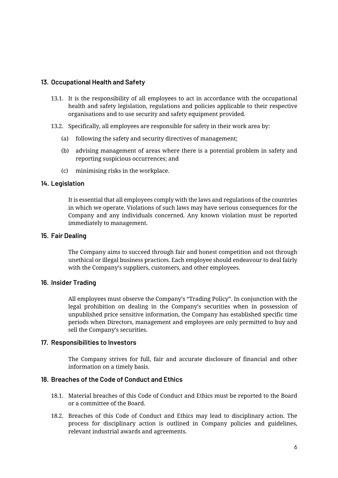## **13. Occupational Health and Safety**

- 13.1. It is the responsibility of all employees to act in accordance with the occupational health and safety legislation, regulations and policies applicable to their respective organisations and to use security and safety equipment provided.
- 13.2. Specifically, all employees are responsible for safety in their work area by:
	- (a) following the safety and security directives of management;
	- (b) advising management of areas where there is a potential problem in safety and reporting suspicious occurrences; and
	- (c) minimising risks in the workplace.

#### **14. Legislation**

It is essential that all employees comply with the laws and regulations of the countries in which we operate. Violations of such laws may have serious consequences for the Company and any individuals concerned. Any known violation must be reported immediately to management.

#### **15. Fair Dealing**

The Company aims to succeed through fair and honest competition and not through unethical or illegal business practices. Each employee should endeavour to deal fairly with the Company's suppliers, customers, and other employees.

## **16. Insider Trading**

All employees must observe the Company's "Trading Policy". In conjunction with the legal prohibition on dealing in the Company's securities when in possession of unpublished price sensitive information, the Company has established specific time periods when Directors, management and employees are only permitted to buy and sell the Company's securities.

#### **17. Responsibilities to Investors**

The Company strives for full, fair and accurate disclosure of financial and other information on a timely basis.

#### **18. Breaches of the Code of Conduct and Ethics**

- 18.1. Material breaches of this Code of Conduct and Ethics must be reported to the Board or a committee of the Board.
- 18.2. Breaches of this Code of Conduct and Ethics may lead to disciplinary action. The process for disciplinary action is outlined in Company policies and guidelines, relevant industrial awards and agreements.